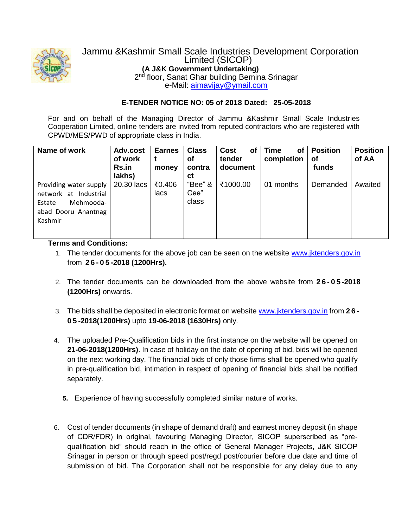

# Jammu &Kashmir Small Scale Industries Development Corporation Limited (SICOP) **(A J&K Government Undertaking)** 2<sup>nd</sup> floor, Sanat Ghar building Bemina Srinagar

e-Mail: [aimavijay@ymail.com](mailto:aimavijay@ymail.com)

## **E-TENDER NOTICE NO: 05 of 2018 Dated: 25-05-2018**

For and on behalf of the Managing Director of Jammu &Kashmir Small Scale Industries Cooperation Limited, online tenders are invited from reputed contractors who are registered with CPWD/MES/PWD of appropriate class in India.

| Name of work                                                                                                | Adv.cost<br>of work<br><b>Rs.in</b><br>lakhs) | <b>Earnes</b><br>money | <b>Class</b><br>οf<br>contra<br>сt | of<br><b>Cost</b><br>tender<br>document | <b>Time</b><br>of<br>completion | <b>Position</b><br>Οf<br>funds | <b>Position</b><br>of AA |
|-------------------------------------------------------------------------------------------------------------|-----------------------------------------------|------------------------|------------------------------------|-----------------------------------------|---------------------------------|--------------------------------|--------------------------|
| Providing water supply<br>Industrial<br>network at<br>Mehmooda-<br>Estate<br>abad Dooru Anantnag<br>Kashmir | 20.30 lacs                                    | ₹0.406<br>lacs         | "Bee" &<br>Cee"<br>class           | ₹1000.00                                | months<br>01                    | Demanded                       | Awaited                  |

### **Terms and Conditions:**

- 1. The tender documents for the above job can be seen on the website www.jktenders.gov.in from **2 6 - 0 5 -2018 (1200Hrs).**
- 2. The tender documents can be downloaded from the above website from **2 6 - 0 5 -2018 (1200Hrs)** onwards.
- 3. The bids shall be deposited in electronic format on website www.jktenders.gov.in from **2 6 - 0 5 -2018(1200Hrs)** upto **19-06-2018 (1630Hrs)** only.
- 4. The uploaded Pre-Qualification bids in the first instance on the website will be opened on **21-06-2018(1200Hrs)**. In case of holiday on the date of opening of bid, bids will be opened on the next working day. The financial bids of only those firms shall be opened who qualify in pre-qualification bid, intimation in respect of opening of financial bids shall be notified separately.
	- **5.** Experience of having successfully completed similar nature of works.
- 6. Cost of tender documents (in shape of demand draft) and earnest money deposit (in shape of CDR/FDR) in original, favouring Managing Director, SICOP superscribed as "prequalification bid" should reach in the office of General Manager Projects, J&K SICOP Srinagar in person or through speed post/regd post/courier before due date and time of submission of bid. The Corporation shall not be responsible for any delay due to any